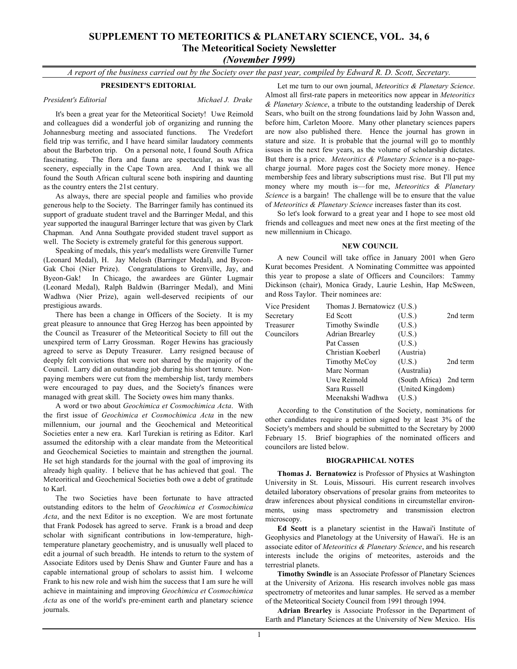# **SUPPLEMENT TO METEORITICS & PLANETARY SCIENCE, VOL. 34, 6 The Meteoritical Society Newsletter**

*(November 1999)*

*A report of the business carried out by the Society over the past year, compiled by Edward R. D. Scott, Secretary.*

# **PRESIDENT'S EDITORIAL**

# *President's Editorial Michael J. Drake*

It's been a great year for the Meteoritical Society! Uwe Reimold and colleagues did a wonderful job of organizing and running the Johannesburg meeting and associated functions. The Vredefort field trip was terrific, and I have heard similar laudatory comments about the Barbeton trip. On a personal note, I found South Africa fascinating. The flora and fauna are spectacular, as was the scenery, especially in the Cape Town area. And I think we all found the South African cultural scene both inspiring and daunting as the country enters the 21st century.

As always, there are special people and families who provide generous help to the Society. The Barringer family has continued its support of graduate student travel and the Barringer Medal, and this year supported the inaugural Barringer lecture that was given by Clark Chapman. And Anna Southgate provided student travel support as well. The Society is extremely grateful for this generous support.

Speaking of medals, this year's medallists were Grenville Turner (Leonard Medal), H. Jay Melosh (Barringer Medal), and Byeon-Gak Choi (Nier Prize). Congratulations to Grenville, Jay, and Byeon-Gak! In Chicago, the awardees are Günter Lugmair (Leonard Medal), Ralph Baldwin (Barringer Medal), and Mini Wadhwa (Nier Prize), again well-deserved recipients of our prestigious awards.

There has been a change in Officers of the Society. It is my great pleasure to announce that Greg Herzog has been appointed by the Council as Treasurer of the Meteoritical Society to fill out the unexpired term of Larry Grossman. Roger Hewins has graciously agreed to serve as Deputy Treasurer. Larry resigned because of deeply felt convictions that were not shared by the majority of the Council. Larry did an outstanding job during his short tenure. Nonpaying members were cut from the membership list, tardy members were encouraged to pay dues, and the Society's finances were managed with great skill. The Society owes him many thanks.

A word or two about *Geochimica et Cosmochimica Acta*. With the first issue of *Geochimica et Cosmochimica Acta* in the new millennium, our journal and the Geochemical and Meteoritical Societies enter a new era. Karl Turekian is retiring as Editor. Karl assumed the editorship with a clear mandate from the Meteoritical and Geochemical Societies to maintain and strengthen the journal. He set high standards for the journal with the goal of improving its already high quality. I believe that he has achieved that goal. The Meteoritical and Geochemical Societies both owe a debt of gratitude to Karl.

The two Societies have been fortunate to have attracted outstanding editors to the helm of *Geochimica et Cosmochimica Acta*, and the next Editor is no exception. We are most fortunate that Frank Podosek has agreed to serve. Frank is a broad and deep scholar with significant contributions in low-temperature, hightemperature planetary geochemistry, and is unusually well placed to edit a journal of such breadth. He intends to return to the system of Associate Editors used by Denis Shaw and Gunter Faure and has a capable international group of scholars to assist him. I welcome Frank to his new role and wish him the success that I am sure he will achieve in maintaining and improving *Geochimica et Cosmochimica Acta* as one of the world's pre-eminent earth and planetary science journals.

Let me turn to our own journal, *Meteoritics & Planetary Science*. Almost all first-rate papers in meteoritics now appear in *Meteoritics & Planetary Science*, a tribute to the outstanding leadership of Derek Sears, who built on the strong foundations laid by John Wasson and, before him, Carleton Moore. Many other planetary sciences papers are now also published there. Hence the journal has grown in stature and size. It is probable that the journal will go to monthly issues in the next few years, as the volume of scholarship dictates. But there is a price. *Meteoritics & Planetary Science* is a no-pagecharge journal. More pages cost the Society more money. Hence membership fees and library subscriptions must rise. But I'll put my money where my mouth is—for me, *Meteoritics & Planetary Science* is a bargain! The challenge will be to ensure that the value of *Meteoritics & Planetary Science* increases faster than its cost.

So let's look forward to a great year and I hope to see most old friends and colleagues and meet new ones at the first meeting of the new millennium in Chicago.

# **NEW COUNCIL**

A new Council will take office in January 2001 when Gero Kurat becomes President. A Nominating Committee was appointed this year to propose a slate of Officers and Councilors: Tammy Dickinson (chair), Monica Grady, Laurie Leshin, Hap McSween, and Ross Taylor. Their nominees are:

| Vice President | Thomas J. Bernatowicz (U.S.) |                         |          |  |
|----------------|------------------------------|-------------------------|----------|--|
| Secretary      | Ed Scott                     | (U.S.)                  | 2nd term |  |
| Treasurer      | <b>Timothy Swindle</b>       | (U.S.)                  |          |  |
| Councilors     | <b>Adrian Brearley</b>       | (U.S.)                  |          |  |
|                | Pat Cassen                   | (U.S.)                  |          |  |
|                | Christian Koeberl            | (Austria)               |          |  |
|                | Timothy McCoy                | (U.S.)                  | 2nd term |  |
|                | Marc Norman                  | (Australia)             |          |  |
|                | Uwe Reimold                  | (South Africa) 2nd term |          |  |
|                | Sara Russell                 | (United Kingdom)        |          |  |
|                | Meenakshi Wadhwa             | (U.S.)                  |          |  |

According to the Constitution of the Society, nominations for other candidates require a petition signed by at least 3% of the Society's members and should be submitted to the Secretary by 2000 February 15. Brief biographies of the nominated officers and councilors are listed below.

# **BIOGRAPHICAL NOTES**

**Thomas J. Bernatowicz** is Professor of Physics at Washington University in St. Louis, Missouri. His current research involves detailed laboratory observations of presolar grains from meteorites to draw inferences about physical conditions in circumstellar environments, using mass spectrometry and transmission electron microscopy.

**Ed Scott** is a planetary scientist in the Hawai'i Institute of Geophysics and Planetology at the University of Hawai'i. He is an associate editor of *Meteoritics & Planetary Science*, and his research interests include the origins of meteorites, asteroids and the terrestrial planets.

**Timothy Swindle** is an Associate Professor of Planetary Sciences at the University of Arizona. His research involves noble gas mass spectrometry of meteorites and lunar samples. He served as a member of the Meteoritical Society Council from 1991 through 1994.

**Adrian Brearley** is Associate Professor in the Department of Earth and Planetary Sciences at the University of New Mexico. His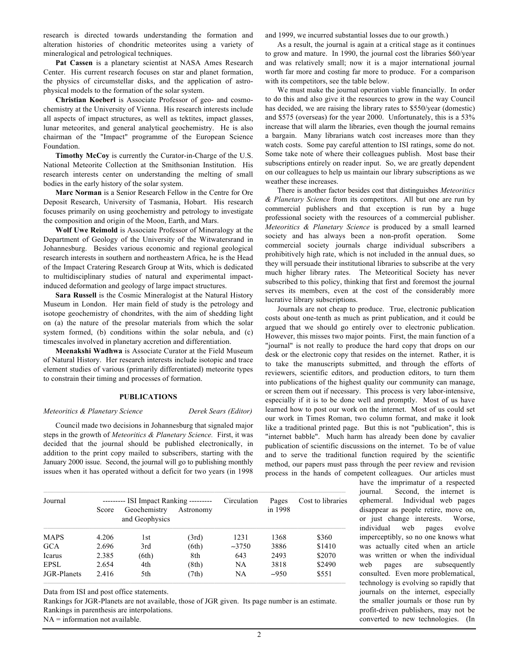research is directed towards understanding the formation and alteration histories of chondritic meteorites using a variety of mineralogical and petrological techniques.

**Pat Cassen** is a planetary scientist at NASA Ames Research Center. His current research focuses on star and planet formation, the physics of circumstellar disks, and the application of astrophysical models to the formation of the solar system.

**Christian Koeberl** is Associate Professor of geo- and cosmochemistry at the University of Vienna. His research interests include all aspects of impact structures, as well as tektites, impact glasses, lunar meteorites, and general analytical geochemistry. He is also chairman of the "Impact" programme of the European Science Foundation.

**Timothy McCoy** is currently the Curator-in-Charge of the U.S. National Meteorite Collection at the Smithsonian Institution. His research interests center on understanding the melting of small bodies in the early history of the solar system.

**Marc Norman** is a Senior Research Fellow in the Centre for Ore Deposit Research, University of Tasmania, Hobart. His research focuses primarily on using geochemistry and petrology to investigate the composition and origin of the Moon, Earth, and Mars.

**Wolf Uwe Reimold** is Associate Professor of Mineralogy at the Department of Geology of the University of the Witwatersrand in Johannesburg. Besides various economic and regional geological research interests in southern and northeastern Africa, he is the Head of the Impact Cratering Research Group at Wits, which is dedicated to multidisciplinary studies of natural and experimental impactinduced deformation and geology of large impact structures.

**Sara Russell** is the Cosmic Mineralogist at the Natural History Museum in London. Her main field of study is the petrology and isotope geochemistry of chondrites, with the aim of shedding light on (a) the nature of the presolar materials from which the solar system formed, (b) conditions within the solar nebula, and (c) timescales involved in planetary accretion and differentiation.

**Meenakshi Wadhwa** is Associate Curator at the Field Museum of Natural History. Her research interests include isotopic and trace element studies of various (primarily differentiated) meteorite types to constrain their timing and processes of formation.

#### **PUBLICATIONS**

#### *Meteoritics & Planetary Science Derek Sears (Editor)*

Council made two decisions in Johannesburg that signaled major steps in the growth of *Meteoritics & Planetary Science.* First, it was decided that the journal should be published electronically, in addition to the print copy mailed to subscribers, starting with the January 2000 issue. Second, the journal will go to publishing monthly issues when it has operated without a deficit for two years (in 1998 and 1999, we incurred substantial losses due to our growth.)

As a result, the journal is again at a critical stage as it continues to grow and mature. In 1990, the journal cost the libraries \$60/year and was relatively small; now it is a major international journal worth far more and costing far more to produce. For a comparison with its competitors, see the table below.

We must make the journal operation viable financially. In order to do this and also give it the resources to grow in the way Council has decided, we are raising the library rates to \$550/year (domestic) and \$575 (overseas) for the year 2000. Unfortunately, this is a 53% increase that will alarm the libraries, even though the journal remains a bargain. Many librarians watch cost increases more than they watch costs. Some pay careful attention to ISI ratings, some do not. Some take note of where their colleagues publish. Most base their subscriptions entirely on reader input. So, we are greatly dependent on our colleagues to help us maintain our library subscriptions as we weather these increases.

There is another factor besides cost that distinguishes *Meteoritics & Planetary Science* from its competitors. All but one are run by commercial publishers and that exception is run by a huge professional society with the resources of a commercial publisher. *Meteoritics & Planetary Science* is produced by a small learned society and has always been a non-profit operation. Some commercial society journals charge individual subscribers a prohibitively high rate, which is not included in the annual dues, so they will persuade their institutional libraries to subscribe at the very much higher library rates. The Meteoritical Society has never subscribed to this policy, thinking that first and foremost the journal serves its members, even at the cost of the considerably more lucrative library subscriptions.

Journals are not cheap to produce. True, electronic publication costs about one-tenth as much as print publication, and it could be argued that we should go entirely over to electronic publication. However, this misses two major points. First, the main function of a "journal" is not really to produce the hard copy that drops on our desk or the electronic copy that resides on the internet. Rather, it is to take the manuscripts submitted, and through the efforts of reviewers, scientific editors, and production editors, to turn them into publications of the highest quality our community can manage, or screen them out if necessary. This process is very labor-intensive, especially if it is to be done well and promptly. Most of us have learned how to post our work on the internet. Most of us could set our work in Times Roman, two column format, and make it look like a traditional printed page. But this is not "publication", this is "internet babble". Much harm has already been done by cavalier publication of scientific discussions on the internet. To be of value and to serve the traditional function required by the scientific method, our papers must pass through the peer review and revision process in the hands of competent colleagues. Our articles must

| Journal     |       | --------- ISI Impact Ranking --------- |           | Circulation | Pages   | Cost to libraries |
|-------------|-------|----------------------------------------|-----------|-------------|---------|-------------------|
|             | Score | Geochemistry<br>and Geophysics         | Astronomy |             | in 1998 |                   |
| <b>MAPS</b> | 4.206 | 1st                                    | (3rd)     | 1231        | 1368    | \$360             |
| <b>GCA</b>  | 2.696 | 3rd                                    | (6th)     | $-3750$     | 3886    | \$1410            |
| Icarus      | 2.385 | (6th)                                  | 8th       | 643         | 2493    | \$2070            |
| <b>EPSL</b> | 2.654 | 4th                                    | (8th)     | NA          | 3818    | \$2490            |
| JGR-Planets | 2.416 | 5th                                    | (7th)     | NA.         | $-950$  | \$551             |

Data from ISI and post office statements.

Rankings for JGR-Planets are not available, those of JGR given. Its page number is an estimate. Rankings in parenthesis are interpolations.

NA = information not available.

have the imprimatur of a respected journal. Second, the internet is ephemeral. Individual web pages disappear as people retire, move on, or just change interests. Worse, individual web pages evolve imperceptibly, so no one knows what was actually cited when an article was written or when the individual web pages are subsequently consulted. Even more problematical, technology is evolving so rapidly that journals on the internet, especially the smaller journals or those run by profit-driven publishers, may not be converted to new technologies. (In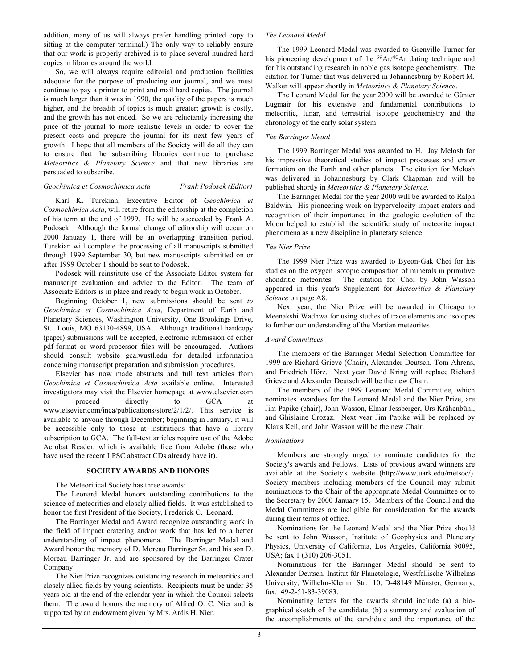addition, many of us will always prefer handling printed copy to sitting at the computer terminal.) The only way to reliably ensure that our work is properly archived is to place several hundred hard copies in libraries around the world.

So, we will always require editorial and production facilities adequate for the purpose of producing our journal, and we must continue to pay a printer to print and mail hard copies. The journal is much larger than it was in 1990, the quality of the papers is much higher, and the breadth of topics is much greater; growth is costly, and the growth has not ended. So we are reluctantly increasing the price of the journal to more realistic levels in order to cover the present costs and prepare the journal for its next few years of growth. I hope that all members of the Society will do all they can to ensure that the subscribing libraries continue to purchase *Meteoritics & Planetary Science* and that new libraries are persuaded to subscribe.

### *Geochimica et Cosmochimica Acta Frank Podosek (Editor)*

Karl K. Turekian, Executive Editor of *Geochimica et Cosmochimica Acta*, will retire from the editorship at the completion of his term at the end of 1999. He will be succeeded by Frank A. Podosek. Although the formal change of editorship will occur on 2000 January 1, there will be an overlapping transition period. Turekian will complete the processing of all manuscripts submitted through 1999 September 30, but new manuscripts submitted on or after 1999 October 1 should be sent to Podosek.

Podosek will reinstitute use of the Associate Editor system for manuscript evaluation and advice to the Editor. The team of Associate Editors is in place and ready to begin work in October.

Beginning October 1, new submissions should be sent *to Geochimica et Cosmochimica Acta*, Department of Earth and Planetary Sciences, Washington University, One Brookings Drive, St. Louis, MO 63130-4899, USA. Although traditional hardcopy (paper) submissions will be accepted, electronic submission of either pdf-format or word-processor files will be encouraged. Authors should consult website gca.wustl.edu for detailed information concerning manuscript preparation and submission procedures.

Elsevier has now made abstracts and full text articles from *Geochimica et Cosmochimica Acta* available online. Interested investigators may visit the Elsevier homepage at www.elsevier.com or proceed directly to GCA at www.elsevier.com/inca/publications/store/2/1/2/. This service is available to anyone through December; beginning in January, it will be accessible only to those at institutions that have a library subscription to GCA. The full-text articles require use of the Adobe Acrobat Reader, which is available free from Adobe (those who have used the recent LPSC abstract CDs already have it).

#### **SOCIETY AWARDS AND HONORS**

The Meteoritical Society has three awards:

The Leonard Medal honors outstanding contributions to the science of meteoritics and closely allied fields. It was established to honor the first President of the Society, Frederick C. Leonard.

The Barringer Medal and Award recognize outstanding work in the field of impact cratering and/or work that has led to a better understanding of impact phenomena. The Barringer Medal and Award honor the memory of D. Moreau Barringer Sr. and his son D. Moreau Barringer Jr. and are sponsored by the Barringer Crater Company.

The Nier Prize recognizes outstanding research in meteoritics and closely allied fields by young scientists. Recipients must be under 35 years old at the end of the calendar year in which the Council selects them. The award honors the memory of Alfred O. C. Nier and is supported by an endowment given by Mrs. Ardis H. Nier.

# *The Leonard Medal*

The 1999 Leonard Medal was awarded to Grenville Turner for his pioneering development of the <sup>39</sup>Ar/<sup>40</sup>Ar dating technique and for his outstanding research in noble gas isotope geochemistry. The citation for Turner that was delivered in Johannesburg by Robert M. Walker will appear shortly in *Meteoritics & Planetary Science*.

The Leonard Medal for the year 2000 will be awarded to Günter Lugmair for his extensive and fundamental contributions to meteoritic, lunar, and terrestrial isotope geochemistry and the chronology of the early solar system.

### *The Barringer Medal*

The 1999 Barringer Medal was awarded to H. Jay Melosh for his impressive theoretical studies of impact processes and crater formation on the Earth and other planets. The citation for Melosh was delivered in Johannesburg by Clark Chapman and will be published shortly in *Meteoritics & Planetary Science*.

The Barringer Medal for the year 2000 will be awarded to Ralph Baldwin. His pioneering work on hypervelocity impact craters and recognition of their importance in the geologic evolution of the Moon helped to establish the scientific study of meteorite impact phenomena as a new discipline in planetary science.

### *The Nier Prize*

The 1999 Nier Prize was awarded to Byeon-Gak Choi for his studies on the oxygen isotopic composition of minerals in primitive chondritic meteorites. The citation for Choi by John Wasson appeared in this year's Supplement for *Meteoritics & Planetary Science* on page A8.

Next year, the Nier Prize will be awarded in Chicago to Meenakshi Wadhwa for using studies of trace elements and isotopes to further our understanding of the Martian meteorites

#### *Award Committees*

The members of the Barringer Medal Selection Committee for 1999 are Richard Grieve (Chair), Alexander Deutsch, Tom Ahrens, and Friedrich Hörz. Next year David Kring will replace Richard Grieve and Alexander Deutsch will be the new Chair.

The members of the 1999 Leonard Medal Committee, which nominates awardees for the Leonard Medal and the Nier Prize, are Jim Papike (chair), John Wasson, Elmar Jessberger, Urs Krähenbühl, and Ghislaine Crozaz. Next year Jim Papike will be replaced by Klaus Keil, and John Wasson will be the new Chair.

### *Nominations*

Members are strongly urged to nominate candidates for the Society's awards and Fellows. Lists of previous award winners are available at the Society's website (http://www.uark.edu/metsoc/). Society members including members of the Council may submit nominations to the Chair of the appropriate Medal Committee or to the Secretary by 2000 January 15. Members of the Council and the Medal Committees are ineligible for consideration for the awards during their terms of office.

Nominations for the Leonard Medal and the Nier Prize should be sent to John Wasson, Institute of Geophysics and Planetary Physics, University of California, Los Angeles, California 90095, USA; fax 1 (310) 206-3051.

Nominations for the Barringer Medal should be sent to Alexander Deutsch, Institut für Planetologie, Westfallische Wilhelms University, Wilhelm-Klemm Str. 10, D-48149 Münster, Germany; fax: 49-2-51-83-39083.

Nominating letters for the awards should include (a) a biographical sketch of the candidate, (b) a summary and evaluation of the accomplishments of the candidate and the importance of the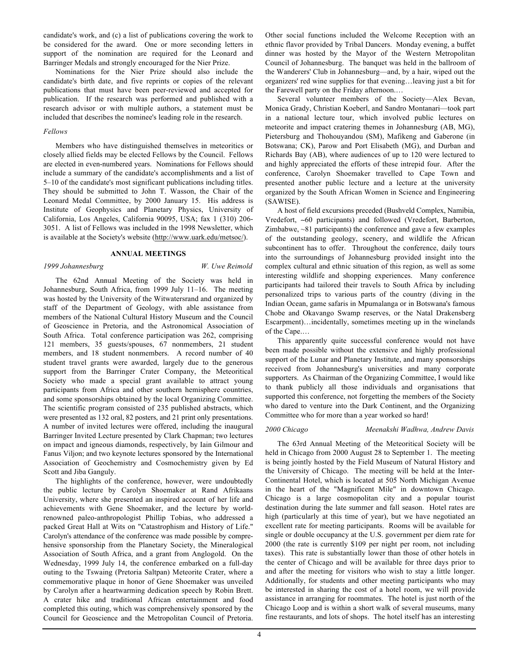candidate's work, and (c) a list of publications covering the work to be considered for the award. One or more seconding letters in support of the nomination are required for the Leonard and Barringer Medals and strongly encouraged for the Nier Prize.

Nominations for the Nier Prize should also include the candidate's birth date, and five reprints or copies of the relevant publications that must have been peer-reviewed and accepted for publication. If the research was performed and published with a research advisor or with multiple authors, a statement must be included that describes the nominee's leading role in the research.

#### *Fellows*

Members who have distinguished themselves in meteoritics or closely allied fields may be elected Fellows by the Council. Fellows are elected in even-numbered years. Nominations for Fellows should include a summary of the candidate's accomplishments and a list of 5–10 of the candidate's most significant publications including titles. They should be submitted to John T. Wasson, the Chair of the Leonard Medal Committee, by 2000 January 15. His address is Institute of Geophysics and Planetary Physics, University of California, Los Angeles, California 90095, USA; fax 1 (310) 206- 3051. A list of Fellows was included in the 1998 Newsletter, which is available at the Society's website (http://www.uark.edu/metsoc/).

#### **ANNUAL MEETINGS**

# *1999 Johannesburg W. Uwe Reimold*

The 62nd Annual Meeting of the Society was held in Johannesburg, South Africa, from 1999 July 11–16. The meeting was hosted by the University of the Witwatersrand and organized by staff of the Department of Geology, with able assistance from members of the National Cultural History Museum and the Council of Geoscience in Pretoria, and the Astronomical Association of South Africa. Total conference participation was 262, comprising 121 members, 35 guests/spouses, 67 nonmembers, 21 student members, and 18 student nonmembers. A record number of 40 student travel grants were awarded, largely due to the generous support from the Barringer Crater Company, the Meteoritical Society who made a special grant available to attract young participants from Africa and other southern hemisphere countries, and some sponsorships obtained by the local Organizing Committee. The scientific program consisted of 235 published abstracts, which were presented as 132 oral, 82 posters, and 21 print only presentations. A number of invited lectures were offered, including the inaugural Barringer Invited Lecture presented by Clark Chapman; two lectures on impact and igneous diamonds, respectively, by Iain Gilmour and Fanus Viljon; and two keynote lectures sponsored by the International Association of Geochemistry and Cosmochemistry given by Ed Scott and Jiba Ganguly.

The highlights of the conference, however, were undoubtedly the public lecture by Carolyn Shoemaker at Rand Afrikaans University, where she presented an inspired account of her life and achievements with Gene Shoemaker, and the lecture by worldrenowned paleo-anthropologist Phillip Tobias, who addressed a packed Great Hall at Wits on "Catastrophism and History of Life." Carolyn's attendance of the conference was made possible by comprehensive sponsorship from the Planetary Society, the Mineralogical Association of South Africa, and a grant from Anglogold. On the Wednesday, 1999 July 14, the conference embarked on a full-day outing to the Tswaing (Pretoria Saltpan) Meteorite Crater, where a commemorative plaque in honor of Gene Shoemaker was unveiled by Carolyn after a heartwarming dedication speech by Robin Brett. A crater hike and traditional African entertainment and food completed this outing, which was comprehensively sponsored by the Council for Geoscience and the Metropolitan Council of Pretoria. Other social functions included the Welcome Reception with an ethnic flavor provided by Tribal Dancers. Monday evening, a buffet dinner was hosted by the Mayor of the Western Metropolitan Council of Johannesburg. The banquet was held in the ballroom of the Wanderers' Club in Johannesburg—and, by a hair, wiped out the organizers' red wine supplies for that evening…leaving just a bit for the Farewell party on the Friday afternoon.…

Several volunteer members of the Society—Alex Bevan, Monica Grady, Christian Koeberl, and Sandro Montanari—took part in a national lecture tour, which involved public lectures on meteorite and impact cratering themes in Johannesburg (AB, MG), Pietersburg and Thohouyandou (SM), Mafikeng and Gaberone (in Botswana; CK), Parow and Port Elisabeth (MG), and Durban and Richards Bay (AB), where audiences of up to 120 were lectured to and highly appreciated the efforts of these intrepid four. After the conference, Carolyn Shoemaker travelled to Cape Town and presented another public lecture and a lecture at the university organized by the South African Women in Science and Engineering (SAWISE).

A host of field excursions preceded (Bushveld Complex, Namibia, Vredefort, ∼60 participants) and followed (Vredefort, Barberton, Zimbabwe, ~81 participants) the conference and gave a few examples of the outstanding geology, scenery, and wildlife the African subcontinent has to offer. Throughout the conference, daily tours into the surroundings of Johannesburg provided insight into the complex cultural and ethnic situation of this region, as well as some interesting wildlife and shopping experiences. Many conference participants had tailored their travels to South Africa by including personalized trips to various parts of the country (diving in the Indian Ocean, game safaris in Mpumalanga or in Botswana's famous Chobe and Okavango Swamp reserves, or the Natal Drakensberg Escarpment)…incidentally, sometimes meeting up in the winelands of the Cape.…

This apparently quite successful conference would not have been made possible without the extensive and highly professional support of the Lunar and Planetary Institute, and many sponsorships received from Johannesburg's universities and many corporate supporters. As Chairman of the Organizing Committee, I would like to thank publicly all those individuals and organisations that supported this conference, not forgetting the members of the Society who dared to venture into the Dark Continent, and the Organizing Committee who for more than a year worked so hard!

*2000 Chicago Meenakshi Wadhwa, Andrew Davis*

The 63rd Annual Meeting of the Meteoritical Society will be held in Chicago from 2000 August 28 to September 1. The meeting is being jointly hosted by the Field Museum of Natural History and the University of Chicago. The meeting will be held at the Inter-Continental Hotel, which is located at 505 North Michigan Avenue in the heart of the "Magnificent Mile" in downtown Chicago. Chicago is a large cosmopolitan city and a popular tourist destination during the late summer and fall season. Hotel rates are high (particularly at this time of year), but we have negotiated an excellent rate for meeting participants. Rooms will be available for single or double occupancy at the U.S. government per diem rate for 2000 (the rate is currently \$109 per night per room, not including taxes). This rate is substantially lower than those of other hotels in the center of Chicago and will be available for three days prior to and after the meeting for visitors who wish to stay a little longer. Additionally, for students and other meeting participants who may be interested in sharing the cost of a hotel room, we will provide assistance in arranging for roommates. The hotel is just north of the Chicago Loop and is within a short walk of several museums, many fine restaurants, and lots of shops. The hotel itself has an interesting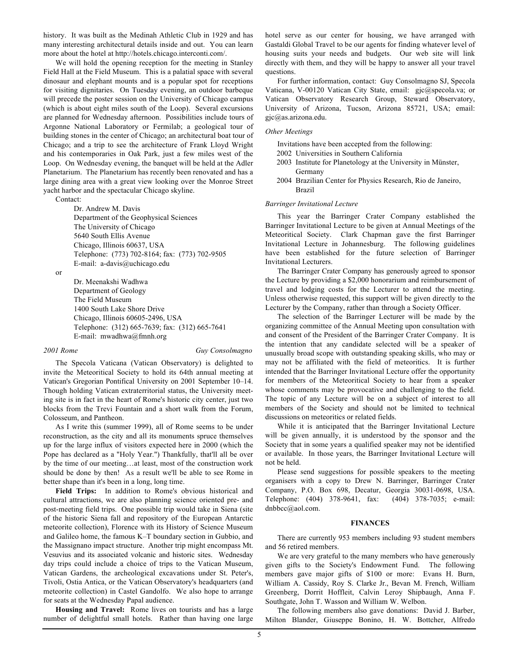history. It was built as the Medinah Athletic Club in 1929 and has many interesting architectural details inside and out. You can learn more about the hotel at http://hotels.chicago.interconti.com/.

We will hold the opening reception for the meeting in Stanley Field Hall at the Field Museum. This is a palatial space with several dinosaur and elephant mounts and is a popular spot for receptions for visiting dignitaries. On Tuesday evening, an outdoor barbeque will precede the poster session on the University of Chicago campus (which is about eight miles south of the Loop). Several excursions are planned for Wednesday afternoon. Possibilities include tours of Argonne National Laboratory or Fermilab; a geological tour of building stones in the center of Chicago; an architectural boat tour of Chicago; and a trip to see the architecture of Frank Lloyd Wright and his contemporaries in Oak Park, just a few miles west of the Loop. On Wednesday evening, the banquet will be held at the Adler Planetarium. The Planetarium has recently been renovated and has a large dining area with a great view looking over the Monroe Street yacht harbor and the spectacular Chicago skyline.

Contact:

Dr. Andrew M. Davis Department of the Geophysical Sciences The University of Chicago 5640 South Ellis Avenue Chicago, Illinois 60637, USA Telephone: (773) 702-8164; fax: (773) 702-9505 E-mail: a-davis@uchicago.edu

or

Dr. Meenakshi Wadhwa Department of Geology The Field Museum 1400 South Lake Shore Drive Chicago, Illinois 60605-2496, USA Telephone: (312) 665-7639; fax: (312) 665-7641 E-mail: mwadhwa@fmnh.org

*2001 Rome Guy Consolmagno*

The Specola Vaticana (Vatican Observatory) is delighted to invite the Meteoritical Society to hold its 64th annual meeting at Vatican's Gregorian Pontifical University on 2001 September 10–14. Though holding Vatican extraterritorial status, the University meeting site is in fact in the heart of Rome's historic city center, just two blocks from the Trevi Fountain and a short walk from the Forum, Colosseum, and Pantheon.

As I write this (summer 1999), all of Rome seems to be under reconstruction, as the city and all its monuments spruce themselves up for the large influx of visitors expected here in 2000 (which the Pope has declared as a "Holy Year.") Thankfully, that'll all be over by the time of our meeting…at least, most of the construction work should be done by then! As a result we'll be able to see Rome in better shape than it's been in a long, long time.

**Field Trips:** In addition to Rome's obvious historical and cultural attractions, we are also planning science oriented pre- and post-meeting field trips. One possible trip would take in Siena (site of the historic Siena fall and repository of the European Antarctic meteorite collection), Florence with its History of Science Museum and Galileo home, the famous K–T boundary section in Gubbio, and the Massignano impact structure. Another trip might encompass Mt. Vesuvius and its associated volcanic and historic sites. Wednesday day trips could include a choice of trips to the Vatican Museum, Vatican Gardens, the archeological excavations under St. Peter's, Tivoli, Ostia Antica, or the Vatican Observatory's headquarters (and meteorite collection) in Castel Gandolfo. We also hope to arrange for seats at the Wednesday Papal audience.

**Housing and Travel:** Rome lives on tourists and has a large number of delightful small hotels. Rather than having one large hotel serve as our center for housing, we have arranged with Gastaldi Global Travel to be our agents for finding whatever level of housing suits your needs and budgets. Our web site will link directly with them, and they will be happy to answer all your travel questions.

For further information, contact: Guy Consolmagno SJ, Specola Vaticana, V-00120 Vatican City State, email: gjc@specola.va; or Vatican Observatory Research Group, Steward Observatory, University of Arizona, Tucson, Arizona 85721, USA; email: gjc@as.arizona.edu.

#### *Other Meetings*

Invitations have been accepted from the following:

- 2002 Universities in Southern California
- 2003 Institute for Planetology at the University in Münster, Germany
- 2004 Brazilian Center for Physics Research, Rio de Janeiro, Brazil

#### *Barringer Invitational Lecture*

This year the Barringer Crater Company established the Barringer Invitational Lecture to be given at Annual Meetings of the Meteoritical Society. Clark Chapman gave the first Barringer Invitational Lecture in Johannesburg. The following guidelines have been established for the future selection of Barringer Invitational Lecturers.

The Barringer Crater Company has generously agreed to sponsor the Lecture by providing a \$2,000 honorarium and reimbursement of travel and lodging costs for the Lecturer to attend the meeting. Unless otherwise requested, this support will be given directly to the Lecturer by the Company, rather than through a Society Officer.

The selection of the Barringer Lecturer will be made by the organizing committee of the Annual Meeting upon consultation with and consent of the President of the Barringer Crater Company. It is the intention that any candidate selected will be a speaker of unusually broad scope with outstanding speaking skills, who may or may not be affiliated with the field of meteoritics. It is further intended that the Barringer Invitational Lecture offer the opportunity for members of the Meteoritical Society to hear from a speaker whose comments may be provocative and challenging to the field. The topic of any Lecture will be on a subject of interest to all members of the Society and should not be limited to technical discussions on meteoritics or related fields.

While it is anticipated that the Barringer Invitational Lecture will be given annually, it is understood by the sponsor and the Society that in some years a qualified speaker may not be identified or available. In those years, the Barringer Invitational Lecture will not be held.

Please send suggestions for possible speakers to the meeting organisers with a copy to Drew N. Barringer, Barringer Crater Company, P.O. Box 698, Decatur, Georgia 30031-0698, USA. Telephone: (404) 378-9641, fax: (404) 378-7035; e-mail: dnbbcc@aol.com.

#### **FINANCES**

There are currently 953 members including 93 student members and 56 retired members.

We are very grateful to the many members who have generously given gifts to the Society's Endowment Fund. The following members gave major gifts of \$100 or more: Evans H. Burn, William A. Cassidy, Roy S. Clarke Jr., Bevan M. French, William Greenberg, Dorrit Hoffleit, Calvin Leroy Shipbaugh, Anna F. Southgate, John T. Wasson and William W. Welbon.

The following members also gave donations: David J. Barber, Milton Blander, Giuseppe Bonino, H. W. Bottcher, Alfredo